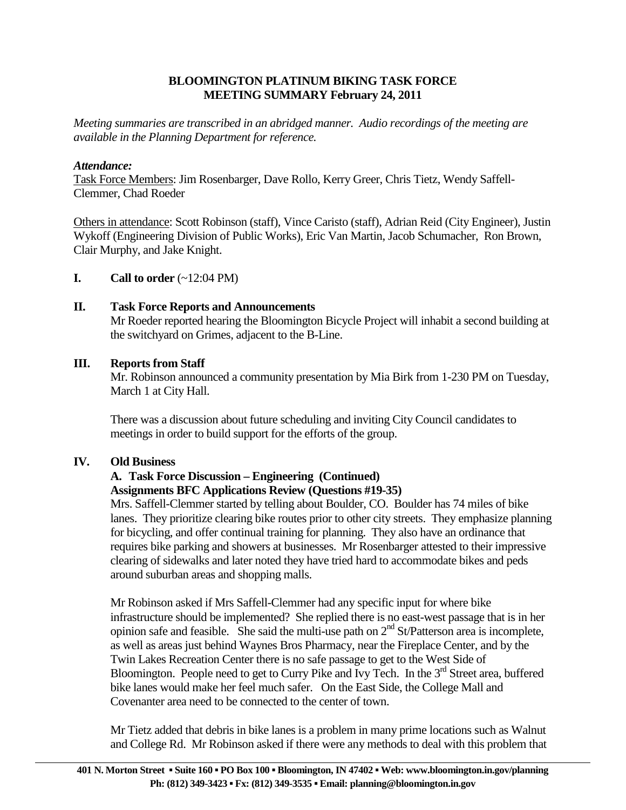#### **BLOOMINGTON PLATINUM BIKING TASK FORCE MEETING SUMMARY February 24, 2011**

*Meeting summaries are transcribed in an abridged manner. Audio recordings of the meeting are available in the Planning Department for reference.*

#### *Attendance:*

Task Force Members: Jim Rosenbarger, Dave Rollo, Kerry Greer, Chris Tietz, Wendy Saffell-Clemmer, Chad Roeder

Others in attendance: Scott Robinson (staff), Vince Caristo (staff), Adrian Reid (City Engineer), Justin Wykoff (Engineering Division of Public Works), Eric Van Martin, Jacob Schumacher, Ron Brown, Clair Murphy, and Jake Knight.

**I.** Call to order  $(-12:04 \text{ PM})$ 

# **II. Task Force Reports and Announcements**

 Mr Roeder reported hearing the Bloomington Bicycle Project will inhabit a second building at the switchyard on Grimes, adjacent to the B-Line.

#### **III. Reports from Staff**

Mr. Robinson announced a community presentation by Mia Birk from 1-230 PM on Tuesday, March 1 at City Hall.

 There was a discussion about future scheduling and inviting City Council candidates to meetings in order to build support for the efforts of the group.

#### **IV. Old Business**

#### **A. Task Force Discussion – Engineering (Continued) Assignments BFC Applications Review (Questions #19-35)**

Mrs. Saffell-Clemmer started by telling about Boulder, CO. Boulder has 74 miles of bike lanes. They prioritize clearing bike routes prior to other city streets. They emphasize planning for bicycling, and offer continual training for planning. They also have an ordinance that requires bike parking and showers at businesses. Mr Rosenbarger attested to their impressive clearing of sidewalks and later noted they have tried hard to accommodate bikes and peds around suburban areas and shopping malls.

Mr Robinson asked if Mrs Saffell-Clemmer had any specific input for where bike infrastructure should be implemented? She replied there is no east-west passage that is in her opinion safe and feasible. She said the multi-use path on  $2<sup>nd</sup>$  St/Patterson area is incomplete, as well as areas just behind Waynes Bros Pharmacy, near the Fireplace Center, and by the Twin Lakes Recreation Center there is no safe passage to get to the West Side of Bloomington. People need to get to Curry Pike and Ivy Tech. In the  $3<sup>rd</sup>$  Street area, buffered bike lanes would make her feel much safer. On the East Side, the College Mall and Covenanter area need to be connected to the center of town.

Mr Tietz added that debris in bike lanes is a problem in many prime locations such as Walnut and College Rd. Mr Robinson asked if there were any methods to deal with this problem that